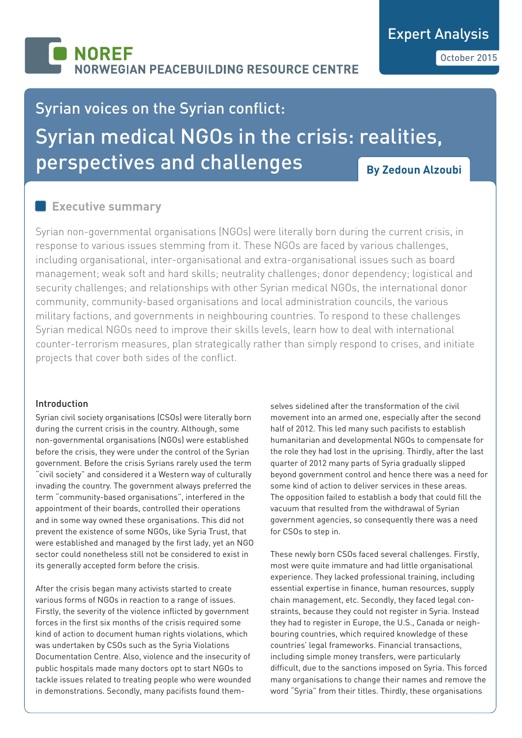# Syrian voices on the Syrian conflict: Syrian medical NGOs in the crisis: realities, perspectives and challenges **By Zedoun Alzoubi**

## **Executive summary**

Syrian non-governmental organisations (NGOs) were literally born during the current crisis, in response to various issues stemming from it. These NGOs are faced by various challenges, including organisational, inter-organisational and extra-organisational issues such as board management; weak soft and hard skills; neutrality challenges; donor dependency; logistical and security challenges; and relationships with other Syrian medical NGOs, the international donor community, community-based organisations and local administration councils, the various military factions, and governments in neighbouring countries. To respond to these challenges Syrian medical NGOs need to improve their skills levels, learn how to deal with international counter-terrorism measures, plan strategically rather than simply respond to crises, and initiate projects that cover both sides of the conflict.

## Introduction

Syrian civil society organisations (CSOs) were literally born during the current crisis in the country. Although, some non-governmental organisations (NGOs) were established before the crisis, they were under the control of the Syrian government. Before the crisis Syrians rarely used the term "civil society" and considered it a Western way of culturally invading the country. The government always preferred the term "community-based organisations", interfered in the appointment of their boards, controlled their operations and in some way owned these organisations. This did not prevent the existence of some NGOs, like Syria Trust, that were established and managed by the first lady, yet an NGO sector could nonetheless still not be considered to exist in its generally accepted form before the crisis.

After the crisis began many activists started to create various forms of NGOs in reaction to a range of issues. Firstly, the severity of the violence inflicted by government forces in the first six months of the crisis required some kind of action to document human rights violations, which was undertaken by CSOs such as the Syria Violations Documentation Centre. Also, violence and the insecurity of public hospitals made many doctors opt to start NGOs to tackle issues related to treating people who were wounded in demonstrations. Secondly, many pacifists found themselves sidelined after the transformation of the civil movement into an armed one, especially after the second half of 2012. This led many such pacifists to establish humanitarian and developmental NGOs to compensate for the role they had lost in the uprising. Thirdly, after the last quarter of 2012 many parts of Syria gradually slipped beyond government control and hence there was a need for some kind of action to deliver services in these areas. The opposition failed to establish a body that could fill the vacuum that resulted from the withdrawal of Syrian government agencies, so consequently there was a need for CSOs to step in.

These newly born CSOs faced several challenges. Firstly, most were quite immature and had little organisational experience. They lacked professional training, including essential expertise in finance, human resources, supply chain management, etc. Secondly, they faced legal constraints, because they could not register in Syria. Instead they had to register in Europe, the U.S., Canada or neighbouring countries, which required knowledge of these countries' legal frameworks. Financial transactions, including simple money transfers, were particularly difficult, due to the sanctions imposed on Syria. This forced many organisations to change their names and remove the word "Syria" from their titles. Thirdly, these organisations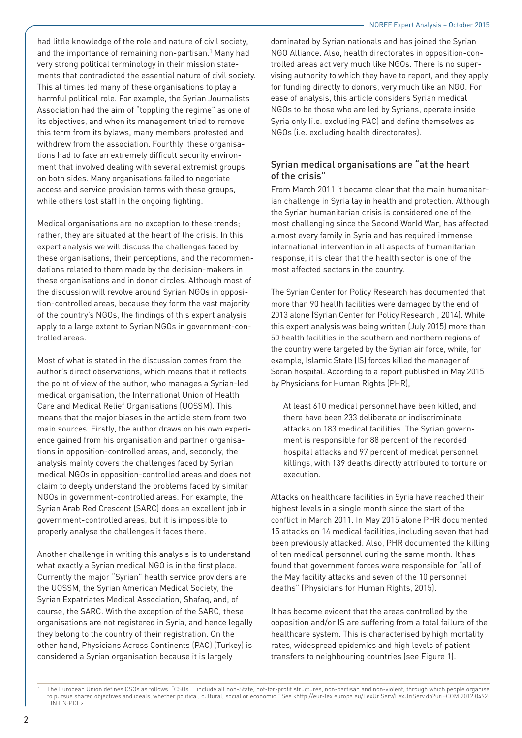had little knowledge of the role and nature of civil society, and the importance of remaining non-partisan.<sup>1</sup> Many had very strong political terminology in their mission statements that contradicted the essential nature of civil society. This at times led many of these organisations to play a harmful political role. For example, the Syrian Journalists Association had the aim of "toppling the regime" as one of its objectives, and when its management tried to remove this term from its bylaws, many members protested and withdrew from the association. Fourthly, these organisations had to face an extremely difficult security environment that involved dealing with several extremist groups on both sides. Many organisations failed to negotiate access and service provision terms with these groups, while others lost staff in the ongoing fighting.

Medical organisations are no exception to these trends; rather, they are situated at the heart of the crisis. In this expert analysis we will discuss the challenges faced by these organisations, their perceptions, and the recommendations related to them made by the decision-makers in these organisations and in donor circles. Although most of the discussion will revolve around Syrian NGOs in opposition-controlled areas, because they form the vast majority of the country's NGOs, the findings of this expert analysis apply to a large extent to Syrian NGOs in government-controlled areas.

Most of what is stated in the discussion comes from the author's direct observations, which means that it reflects the point of view of the author, who manages a Syrian-led medical organisation, the International Union of Health Care and Medical Relief Organisations (UOSSM). This means that the major biases in the article stem from two main sources. Firstly, the author draws on his own experience gained from his organisation and partner organisations in opposition-controlled areas, and, secondly, the analysis mainly covers the challenges faced by Syrian medical NGOs in opposition-controlled areas and does not claim to deeply understand the problems faced by similar NGOs in government-controlled areas. For example, the Syrian Arab Red Crescent (SARC) does an excellent job in government-controlled areas, but it is impossible to properly analyse the challenges it faces there.

Another challenge in writing this analysis is to understand what exactly a Syrian medical NGO is in the first place. Currently the major "Syrian" health service providers are the UOSSM, the Syrian American Medical Society, the Syrian Expatriates Medical Association, Shafaq, and, of course, the SARC. With the exception of the SARC, these organisations are not registered in Syria, and hence legally they belong to the country of their registration. On the other hand, Physicians Across Continents (PAC) (Turkey) is considered a Syrian organisation because it is largely

dominated by Syrian nationals and has joined the Syrian NGO Alliance. Also, health directorates in opposition-controlled areas act very much like NGOs. There is no supervising authority to which they have to report, and they apply for funding directly to donors, very much like an NGO. For ease of analysis, this article considers Syrian medical NGOs to be those who are led by Syrians, operate inside Syria only (i.e. excluding PAC) and define themselves as NGOs (i.e. excluding health directorates).

## Syrian medical organisations are "at the heart of the crisis"

From March 2011 it became clear that the main humanitarian challenge in Syria lay in health and protection. Although the Syrian humanitarian crisis is considered one of the most challenging since the Second World War, has affected almost every family in Syria and has required immense international intervention in all aspects of humanitarian response, it is clear that the health sector is one of the most affected sectors in the country.

The Syrian Center for Policy Research has documented that more than 90 health facilities were damaged by the end of 2013 alone (Syrian Center for Policy Research , 2014). While this expert analysis was being written (July 2015) more than 50 health facilities in the southern and northern regions of the country were targeted by the Syrian air force, while, for example, Islamic State (IS) forces killed the manager of Soran hospital. According to a report published in May 2015 by Physicians for Human Rights (PHR),

At least 610 medical personnel have been killed, and there have been 233 deliberate or indiscriminate attacks on 183 medical facilities. The Syrian government is responsible for 88 percent of the recorded hospital attacks and 97 percent of medical personnel killings, with 139 deaths directly attributed to torture or execution.

Attacks on healthcare facilities in Syria have reached their highest levels in a single month since the start of the conflict in March 2011. In May 2015 alone PHR documented 15 attacks on 14 medical facilities, including seven that had been previously attacked. Also, PHR documented the killing of ten medical personnel during the same month. It has found that government forces were responsible for "all of the May facility attacks and seven of the 10 personnel deaths" (Physicians for Human Rights, 2015).

It has become evident that the areas controlled by the opposition and/or IS are suffering from a total failure of the healthcare system. This is characterised by high mortality rates, widespread epidemics and high levels of patient transfers to neighbouring countries (see Figure 1).

<sup>1</sup> The European Union defines CSOs as follows: "CSOs ... include all non-State, not-for-profit structures, non-partisan and non-violent, through which people organise to pursue shared objectives and ideals, whether political, cultural, social or economic." See <http://eur-lex.europa.eu/LexUriServ/LexUriServ.do?uri=COM:2012:0492: FIN:EN:PDF>.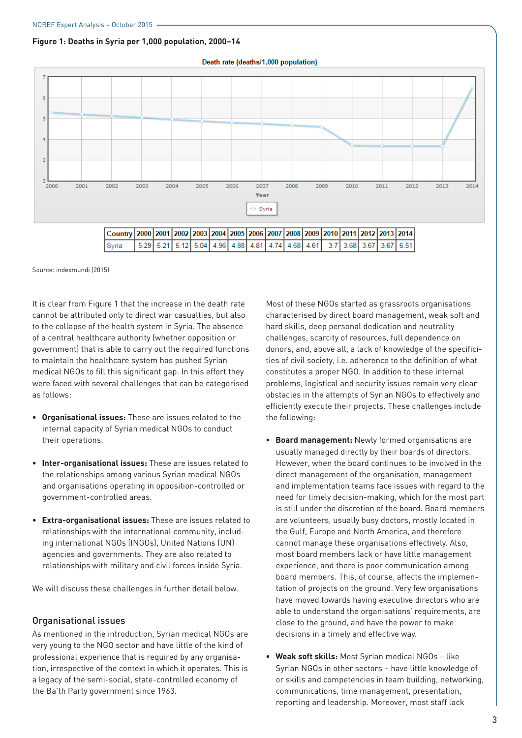#### **Figure 1: Deaths in Syria per 1,000 population, 2000–14**



Death rate (deaths/1,000 population)

Source: indexmundi (2015)

It is clear from Figure 1 that the increase in the death rate cannot be attributed only to direct war casualties, but also to the collapse of the health system in Syria. The absence of a central healthcare authority (whether opposition or government) that is able to carry out the required functions to maintain the healthcare system has pushed Syrian medical NGOs to fill this significant gap. In this effort they were faced with several challenges that can be categorised as follows:

- **• Organisational issues:** These are issues related to the internal capacity of Syrian medical NGOs to conduct their operations.
- **• Inter-organisational issues:** These are issues related to the relationships among various Syrian medical NGOs and organisations operating in opposition-controlled or government-controlled areas.
- **• Extra-organisational issues:** These are issues related to relationships with the international community, including international NGOs (INGOs), United Nations (UN) agencies and governments. They are also related to relationships with military and civil forces inside Syria.

We will discuss these challenges in further detail below.

#### Organisational issues

As mentioned in the introduction, Syrian medical NGOs are very young to the NGO sector and have little of the kind of professional experience that is required by any organisation, irrespective of the context in which it operates. This is a legacy of the semi-social, state-controlled economy of the Ba'th Party government since 1963.

Most of these NGOs started as grassroots organisations characterised by direct board management, weak soft and hard skills, deep personal dedication and neutrality challenges, scarcity of resources, full dependence on donors, and, above all, a lack of knowledge of the specificities of civil society, i.e. adherence to the definition of what constitutes a proper NGO. In addition to these internal problems, logistical and security issues remain very clear obstacles in the attempts of Syrian NGOs to effectively and efficiently execute their projects. These challenges include the following:

- **• Board management:** Newly formed organisations are usually managed directly by their boards of directors. However, when the board continues to be involved in the direct management of the organisation, management and implementation teams face issues with regard to the need for timely decision-making, which for the most part is still under the discretion of the board. Board members are volunteers, usually busy doctors, mostly located in the Gulf, Europe and North America, and therefore cannot manage these organisations effectively. Also, most board members lack or have little management experience, and there is poor communication among board members. This, of course, affects the implementation of projects on the ground. Very few organisations have moved towards having executive directors who are able to understand the organisations' requirements, are close to the ground, and have the power to make decisions in a timely and effective way.
- **• Weak soft skills:** Most Syrian medical NGOs like Syrian NGOs in other sectors – have little knowledge of or skills and competencies in team building, networking, communications, time management, presentation, reporting and leadership. Moreover, most staff lack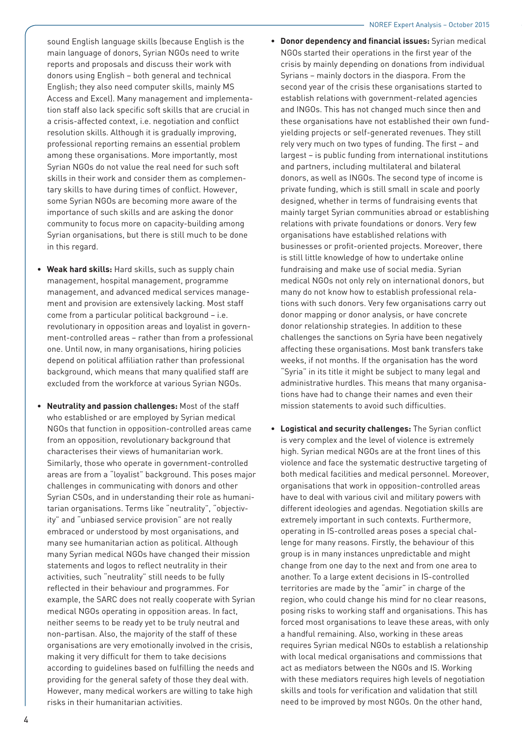sound English language skills (because English is the main language of donors, Syrian NGOs need to write reports and proposals and discuss their work with donors using English – both general and technical English; they also need computer skills, mainly MS Access and Excel). Many management and implementation staff also lack specific soft skills that are crucial in a crisis-affected context, i.e. negotiation and conflict resolution skills. Although it is gradually improving, professional reporting remains an essential problem among these organisations. More importantly, most Syrian NGOs do not value the real need for such soft skills in their work and consider them as complementary skills to have during times of conflict. However, some Syrian NGOs are becoming more aware of the importance of such skills and are asking the donor community to focus more on capacity-building among Syrian organisations, but there is still much to be done in this regard.

- **• Weak hard skills:** Hard skills, such as supply chain management, hospital management, programme management, and advanced medical services management and provision are extensively lacking. Most staff come from a particular political background – i.e. revolutionary in opposition areas and loyalist in government-controlled areas – rather than from a professional one. Until now, in many organisations, hiring policies depend on political affiliation rather than professional background, which means that many qualified staff are excluded from the workforce at various Syrian NGOs.
- **• Neutrality and passion challenges:** Most of the staff who established or are employed by Syrian medical NGOs that function in opposition-controlled areas came from an opposition, revolutionary background that characterises their views of humanitarian work. Similarly, those who operate in government-controlled areas are from a "loyalist" background. This poses major challenges in communicating with donors and other Syrian CSOs, and in understanding their role as humanitarian organisations. Terms like "neutrality", "objectivity" and "unbiased service provision" are not really embraced or understood by most organisations, and many see humanitarian action as political. Although many Syrian medical NGOs have changed their mission statements and logos to reflect neutrality in their activities, such "neutrality" still needs to be fully reflected in their behaviour and programmes. For example, the SARC does not really cooperate with Syrian medical NGOs operating in opposition areas. In fact, neither seems to be ready yet to be truly neutral and non-partisan. Also, the majority of the staff of these organisations are very emotionally involved in the crisis, making it very difficult for them to take decisions according to guidelines based on fulfilling the needs and providing for the general safety of those they deal with. However, many medical workers are willing to take high risks in their humanitarian activities.
- **• Donor dependency and financial issues:** Syrian medical NGOs started their operations in the first year of the crisis by mainly depending on donations from individual Syrians – mainly doctors in the diaspora. From the second year of the crisis these organisations started to establish relations with government-related agencies and INGOs. This has not changed much since then and these organisations have not established their own fundyielding projects or self-generated revenues. They still rely very much on two types of funding. The first – and largest – is public funding from international institutions and partners, including multilateral and bilateral donors, as well as INGOs. The second type of income is private funding, which is still small in scale and poorly designed, whether in terms of fundraising events that mainly target Syrian communities abroad or establishing relations with private foundations or donors. Very few organisations have established relations with businesses or profit-oriented projects. Moreover, there is still little knowledge of how to undertake online fundraising and make use of social media. Syrian medical NGOs not only rely on international donors, but many do not know how to establish professional relations with such donors. Very few organisations carry out donor mapping or donor analysis, or have concrete donor relationship strategies. In addition to these challenges the sanctions on Syria have been negatively affecting these organisations. Most bank transfers take weeks, if not months. If the organisation has the word "Syria" in its title it might be subject to many legal and administrative hurdles. This means that many organisations have had to change their names and even their mission statements to avoid such difficulties.
- **• Logistical and security challenges:** The Syrian conflict is very complex and the level of violence is extremely high. Syrian medical NGOs are at the front lines of this violence and face the systematic destructive targeting of both medical facilities and medical personnel. Moreover, organisations that work in opposition-controlled areas have to deal with various civil and military powers with different ideologies and agendas. Negotiation skills are extremely important in such contexts. Furthermore, operating in IS-controlled areas poses a special challenge for many reasons. Firstly, the behaviour of this group is in many instances unpredictable and might change from one day to the next and from one area to another. To a large extent decisions in IS-controlled territories are made by the "amir" in charge of the region, who could change his mind for no clear reasons, posing risks to working staff and organisations. This has forced most organisations to leave these areas, with only a handful remaining. Also, working in these areas requires Syrian medical NGOs to establish a relationship with local medical organisations and commissions that act as mediators between the NGOs and IS. Working with these mediators requires high levels of negotiation skills and tools for verification and validation that still need to be improved by most NGOs. On the other hand,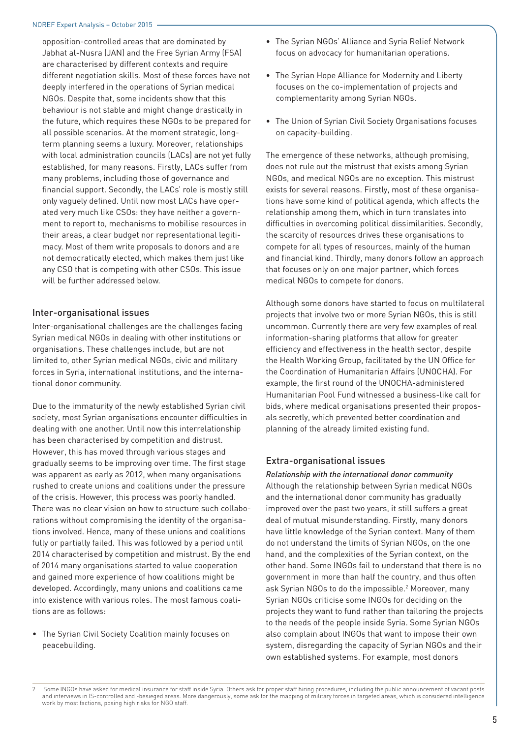opposition-controlled areas that are dominated by Jabhat al-Nusra (JAN) and the Free Syrian Army (FSA) are characterised by different contexts and require different negotiation skills. Most of these forces have not deeply interfered in the operations of Syrian medical NGOs. Despite that, some incidents show that this behaviour is not stable and might change drastically in the future, which requires these NGOs to be prepared for all possible scenarios. At the moment strategic, longterm planning seems a luxury. Moreover, relationships with local administration councils (LACs) are not yet fully established, for many reasons. Firstly, LACs suffer from many problems, including those of governance and financial support. Secondly, the LACs' role is mostly still only vaguely defined. Until now most LACs have operated very much like CSOs: they have neither a government to report to, mechanisms to mobilise resources in their areas, a clear budget nor representational legitimacy. Most of them write proposals to donors and are not democratically elected, which makes them just like any CSO that is competing with other CSOs. This issue will be further addressed below.

#### Inter-organisational issues

Inter-organisational challenges are the challenges facing Syrian medical NGOs in dealing with other institutions or organisations. These challenges include, but are not limited to, other Syrian medical NGOs, civic and military forces in Syria, international institutions, and the international donor community.

Due to the immaturity of the newly established Syrian civil society, most Syrian organisations encounter difficulties in dealing with one another. Until now this interrelationship has been characterised by competition and distrust. However, this has moved through various stages and gradually seems to be improving over time. The first stage was apparent as early as 2012, when many organisations rushed to create unions and coalitions under the pressure of the crisis. However, this process was poorly handled. There was no clear vision on how to structure such collaborations without compromising the identity of the organisations involved. Hence, many of these unions and coalitions fully or partially failed. This was followed by a period until 2014 characterised by competition and mistrust. By the end of 2014 many organisations started to value cooperation and gained more experience of how coalitions might be developed. Accordingly, many unions and coalitions came into existence with various roles. The most famous coalitions are as follows:

• The Syrian Civil Society Coalition mainly focuses on peacebuilding.

- The Syrian NGOs' Alliance and Syria Relief Network focus on advocacy for humanitarian operations.
- The Syrian Hope Alliance for Modernity and Liberty focuses on the co-implementation of projects and complementarity among Syrian NGOs.
- The Union of Syrian Civil Society Organisations focuses on capacity-building.

The emergence of these networks, although promising, does not rule out the mistrust that exists among Syrian NGOs, and medical NGOs are no exception. This mistrust exists for several reasons. Firstly, most of these organisations have some kind of political agenda, which affects the relationship among them, which in turn translates into difficulties in overcoming political dissimilarities. Secondly, the scarcity of resources drives these organisations to compete for all types of resources, mainly of the human and financial kind. Thirdly, many donors follow an approach that focuses only on one major partner, which forces medical NGOs to compete for donors.

Although some donors have started to focus on multilateral projects that involve two or more Syrian NGOs, this is still uncommon. Currently there are very few examples of real information-sharing platforms that allow for greater efficiency and effectiveness in the health sector, despite the Health Working Group, facilitated by the UN Office for the Coordination of Humanitarian Affairs (UNOCHA). For example, the first round of the UNOCHA-administered Humanitarian Pool Fund witnessed a business-like call for bids, where medical organisations presented their proposals secretly, which prevented better coordination and planning of the already limited existing fund.

#### Extra-organisational issues

*Relationship with the international donor community*  Although the relationship between Syrian medical NGOs and the international donor community has gradually improved over the past two years, it still suffers a great deal of mutual misunderstanding. Firstly, many donors have little knowledge of the Syrian context. Many of them do not understand the limits of Syrian NGOs, on the one hand, and the complexities of the Syrian context, on the other hand. Some INGOs fail to understand that there is no government in more than half the country, and thus often ask Syrian NGOs to do the impossible.<sup>2</sup> Moreover, many Syrian NGOs criticise some INGOs for deciding on the projects they want to fund rather than tailoring the projects to the needs of the people inside Syria. Some Syrian NGOs also complain about INGOs that want to impose their own system, disregarding the capacity of Syrian NGOs and their own established systems. For example, most donors

Some INGOs have asked for medical insurance for staff inside Syria. Others ask for proper staff hiring procedures, including the public announcement of vacant posts and interviews in IS-controlled and -besieged areas. More dangerously, some ask for the mapping of military forces in targeted areas, which is considered intelligence work by most factions, posing high risks for NGO staff.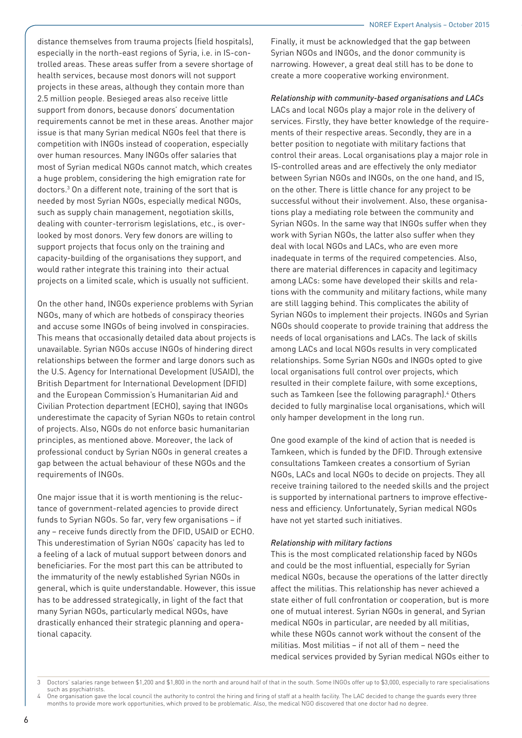distance themselves from trauma projects (field hospitals), especially in the north-east regions of Syria, i.e. in IS-controlled areas. These areas suffer from a severe shortage of health services, because most donors will not support projects in these areas, although they contain more than 2.5 million people. Besieged areas also receive little support from donors, because donors' documentation requirements cannot be met in these areas. Another major issue is that many Syrian medical NGOs feel that there is competition with INGOs instead of cooperation, especially over human resources. Many INGOs offer salaries that most of Syrian medical NGOs cannot match, which creates a huge problem, considering the high emigration rate for doctors.3 On a different note, training of the sort that is needed by most Syrian NGOs, especially medical NGOs, such as supply chain management, negotiation skills, dealing with counter-terrorism legislations, etc., is overlooked by most donors. Very few donors are willing to support projects that focus only on the training and capacity-building of the organisations they support, and would rather integrate this training into their actual projects on a limited scale, which is usually not sufficient.

On the other hand, INGOs experience problems with Syrian NGOs, many of which are hotbeds of conspiracy theories and accuse some INGOs of being involved in conspiracies. This means that occasionally detailed data about projects is unavailable. Syrian NGOs accuse INGOs of hindering direct relationships between the former and large donors such as the U.S. Agency for International Development (USAID), the British Department for International Development (DFID) and the European Commission's Humanitarian Aid and Civilian Protection department (ECHO), saying that INGOs underestimate the capacity of Syrian NGOs to retain control of projects. Also, NGOs do not enforce basic humanitarian principles, as mentioned above. Moreover, the lack of professional conduct by Syrian NGOs in general creates a gap between the actual behaviour of these NGOs and the requirements of INGOs.

One major issue that it is worth mentioning is the reluctance of government-related agencies to provide direct funds to Syrian NGOs. So far, very few organisations – if any – receive funds directly from the DFID, USAID or ECHO. This underestimation of Syrian NGOs' capacity has led to a feeling of a lack of mutual support between donors and beneficiaries. For the most part this can be attributed to the immaturity of the newly established Syrian NGOs in general, which is quite understandable. However, this issue has to be addressed strategically, in light of the fact that many Syrian NGOs, particularly medical NGOs, have drastically enhanced their strategic planning and operational capacity.

Finally, it must be acknowledged that the gap between Syrian NGOs and INGOs, and the donor community is narrowing. However, a great deal still has to be done to create a more cooperative working environment.

#### *Relationship with community-based organisations and LACs*

LACs and local NGOs play a major role in the delivery of services. Firstly, they have better knowledge of the requirements of their respective areas. Secondly, they are in a better position to negotiate with military factions that control their areas. Local organisations play a major role in IS-controlled areas and are effectively the only mediator between Syrian NGOs and INGOs, on the one hand, and IS, on the other. There is little chance for any project to be successful without their involvement. Also, these organisations play a mediating role between the community and Syrian NGOs. In the same way that INGOs suffer when they work with Syrian NGOs, the latter also suffer when they deal with local NGOs and LACs, who are even more inadequate in terms of the required competencies. Also, there are material differences in capacity and legitimacy among LACs: some have developed their skills and relations with the community and military factions, while many are still lagging behind. This complicates the ability of Syrian NGOs to implement their projects. INGOs and Syrian NGOs should cooperate to provide training that address the needs of local organisations and LACs. The lack of skills among LACs and local NGOs results in very complicated relationships. Some Syrian NGOs and INGOs opted to give local organisations full control over projects, which resulted in their complete failure, with some exceptions, such as Tamkeen (see the following paragraph).<sup>4</sup> Others decided to fully marginalise local organisations, which will only hamper development in the long run.

One good example of the kind of action that is needed is Tamkeen, which is funded by the DFID. Through extensive consultations Tamkeen creates a consortium of Syrian NGOs, LACs and local NGOs to decide on projects. They all receive training tailored to the needed skills and the project is supported by international partners to improve effectiveness and efficiency. Unfortunately, Syrian medical NGOs have not yet started such initiatives.

#### *Relationship with military factions*

This is the most complicated relationship faced by NGOs and could be the most influential, especially for Syrian medical NGOs, because the operations of the latter directly affect the militias. This relationship has never achieved a state either of full confrontation or cooperation, but is more one of mutual interest. Syrian NGOs in general, and Syrian medical NGOs in particular, are needed by all militias, while these NGOs cannot work without the consent of the militias. Most militias – if not all of them – need the medical services provided by Syrian medical NGOs either to

One organisation gave the local council the authority to control the hiring and firing of staff at a health facility. The LAC decided to change the guards every three months to provide more work opportunities, which proved to be problematic. Also, the medical NGO discovered that one doctor had no degree.

<sup>3</sup> Doctors' salaries range between \$1,200 and \$1,800 in the north and around half of that in the south. Some INGOs offer up to \$3,000, especially to rare specialisations such as psychiatrists.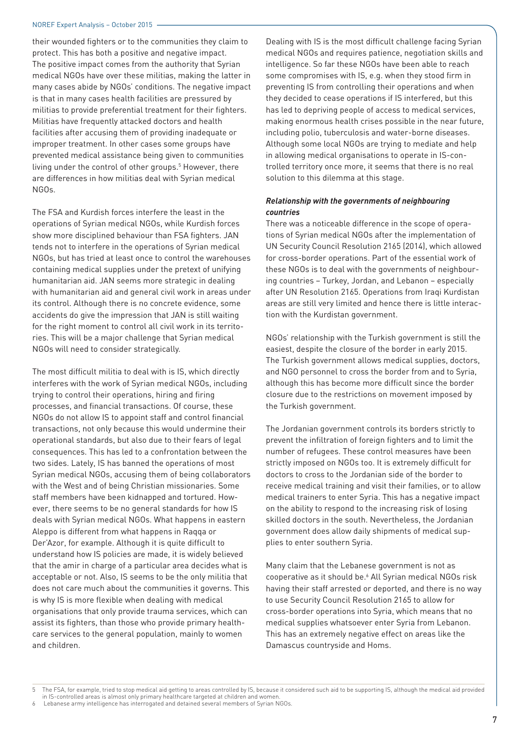#### NOREF Expert Analysis – October 2015

their wounded fighters or to the communities they claim to protect. This has both a positive and negative impact. The positive impact comes from the authority that Syrian medical NGOs have over these militias, making the latter in many cases abide by NGOs' conditions. The negative impact is that in many cases health facilities are pressured by militias to provide preferential treatment for their fighters. Militias have frequently attacked doctors and health facilities after accusing them of providing inadequate or improper treatment. In other cases some groups have prevented medical assistance being given to communities living under the control of other groups.5 However, there are differences in how militias deal with Syrian medical NGOs.

The FSA and Kurdish forces interfere the least in the operations of Syrian medical NGOs, while Kurdish forces show more disciplined behaviour than FSA fighters. JAN tends not to interfere in the operations of Syrian medical NGOs, but has tried at least once to control the warehouses containing medical supplies under the pretext of unifying humanitarian aid. JAN seems more strategic in dealing with humanitarian aid and general civil work in areas under its control. Although there is no concrete evidence, some accidents do give the impression that JAN is still waiting for the right moment to control all civil work in its territories. This will be a major challenge that Syrian medical NGOs will need to consider strategically.

The most difficult militia to deal with is IS, which directly interferes with the work of Syrian medical NGOs, including trying to control their operations, hiring and firing processes, and financial transactions. Of course, these NGOs do not allow IS to appoint staff and control financial transactions, not only because this would undermine their operational standards, but also due to their fears of legal consequences. This has led to a confrontation between the two sides. Lately, IS has banned the operations of most Syrian medical NGOs, accusing them of being collaborators with the West and of being Christian missionaries. Some staff members have been kidnapped and tortured. However, there seems to be no general standards for how IS deals with Syrian medical NGOs. What happens in eastern Aleppo is different from what happens in Raqqa or Der'Azor, for example. Although it is quite difficult to understand how IS policies are made, it is widely believed that the amir in charge of a particular area decides what is acceptable or not. Also, IS seems to be the only militia that does not care much about the communities it governs. This is why IS is more flexible when dealing with medical organisations that only provide trauma services, which can assist its fighters, than those who provide primary healthcare services to the general population, mainly to women and children.

Dealing with IS is the most difficult challenge facing Syrian medical NGOs and requires patience, negotiation skills and intelligence. So far these NGOs have been able to reach some compromises with IS, e.g. when they stood firm in preventing IS from controlling their operations and when they decided to cease operations if IS interfered, but this has led to depriving people of access to medical services, making enormous health crises possible in the near future, including polio, tuberculosis and water-borne diseases. Although some local NGOs are trying to mediate and help in allowing medical organisations to operate in IS-controlled territory once more, it seems that there is no real solution to this dilemma at this stage.

#### *Relationship with the governments of neighbouring countries*

There was a noticeable difference in the scope of operations of Syrian medical NGOs after the implementation of UN Security Council Resolution 2165 (2014), which allowed for cross-border operations. Part of the essential work of these NGOs is to deal with the governments of neighbouring countries – Turkey, Jordan, and Lebanon – especially after UN Resolution 2165. Operations from Iraqi Kurdistan areas are still very limited and hence there is little interaction with the Kurdistan government.

NGOs' relationship with the Turkish government is still the easiest, despite the closure of the border in early 2015. The Turkish government allows medical supplies, doctors, and NGO personnel to cross the border from and to Syria, although this has become more difficult since the border closure due to the restrictions on movement imposed by the Turkish government.

The Jordanian government controls its borders strictly to prevent the infiltration of foreign fighters and to limit the number of refugees. These control measures have been strictly imposed on NGOs too. It is extremely difficult for doctors to cross to the Jordanian side of the border to receive medical training and visit their families, or to allow medical trainers to enter Syria. This has a negative impact on the ability to respond to the increasing risk of losing skilled doctors in the south. Nevertheless, the Jordanian government does allow daily shipments of medical supplies to enter southern Syria.

Many claim that the Lebanese government is not as cooperative as it should be.<sup>6</sup> All Syrian medical NGOs risk having their staff arrested or deported, and there is no way to use Security Council Resolution 2165 to allow for cross-border operations into Syria, which means that no medical supplies whatsoever enter Syria from Lebanon. This has an extremely negative effect on areas like the Damascus countryside and Homs.

<sup>5</sup> The FSA, for example, tried to stop medical aid getting to areas controlled by IS, because it considered such aid to be supporting IS, although the medical aid provided in IS-controlled areas is almost only primary healthcare targeted at children and women.

Lebanese army intelligence has interrogated and detained several members of Syrian NGOs.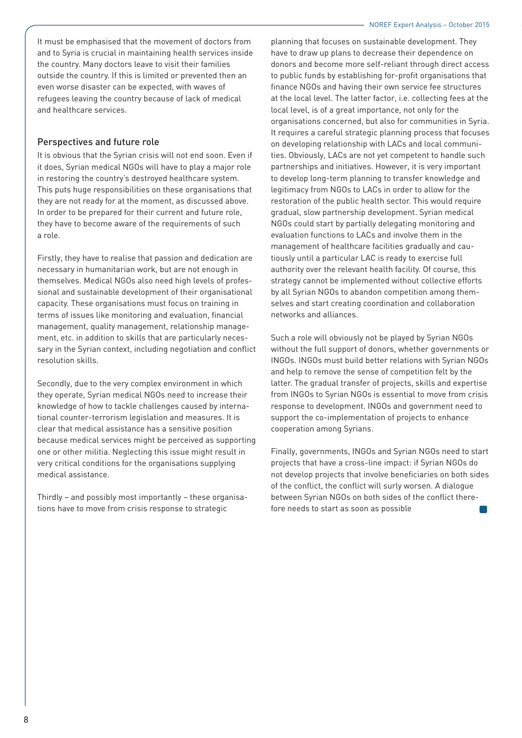It must be emphasised that the movement of doctors from and to Syria is crucial in maintaining health services inside the country. Many doctors leave to visit their families outside the country. If this is limited or prevented then an even worse disaster can be expected, with waves of refugees leaving the country because of lack of medical and healthcare services.

#### Perspectives and future role

It is obvious that the Syrian crisis will not end soon. Even if it does, Syrian medical NGOs will have to play a major role in restoring the country's destroyed healthcare system. This puts huge responsibilities on these organisations that they are not ready for at the moment, as discussed above. In order to be prepared for their current and future role, they have to become aware of the requirements of such a role.

Firstly, they have to realise that passion and dedication are necessary in humanitarian work, but are not enough in themselves. Medical NGOs also need high levels of professional and sustainable development of their organisational capacity. These organisations must focus on training in terms of issues like monitoring and evaluation, financial management, quality management, relationship management, etc. in addition to skills that are particularly necessary in the Syrian context, including negotiation and conflict resolution skills.

Secondly, due to the very complex environment in which they operate, Syrian medical NGOs need to increase their knowledge of how to tackle challenges caused by international counter-terrorism legislation and measures. It is clear that medical assistance has a sensitive position because medical services might be perceived as supporting one or other militia. Neglecting this issue might result in very critical conditions for the organisations supplying medical assistance.

Thirdly – and possibly most importantly – these organisations have to move from crisis response to strategic

planning that focuses on sustainable development. They have to draw up plans to decrease their dependence on donors and become more self-reliant through direct access to public funds by establishing for-profit organisations that finance NGOs and having their own service fee structures at the local level. The latter factor, i.e. collecting fees at the local level, is of a great importance, not only for the organisations concerned, but also for communities in Syria. It requires a careful strategic planning process that focuses on developing relationship with LACs and local communities. Obviously, LACs are not yet competent to handle such partnerships and initiatives. However, it is very important to develop long-term planning to transfer knowledge and legitimacy from NGOs to LACs in order to allow for the restoration of the public health sector. This would require gradual, slow partnership development. Syrian medical NGOs could start by partially delegating monitoring and evaluation functions to LACs and involve them in the management of healthcare facilities gradually and cautiously until a particular LAC is ready to exercise full authority over the relevant health facility. Of course, this strategy cannot be implemented without collective efforts by all Syrian NGOs to abandon competition among themselves and start creating coordination and collaboration networks and alliances.

Such a role will obviously not be played by Syrian NGOs without the full support of donors, whether governments or INGOs. INGOs must build better relations with Syrian NGOs and help to remove the sense of competition felt by the latter. The gradual transfer of projects, skills and expertise from INGOs to Syrian NGOs is essential to move from crisis response to development. INGOs and government need to support the co-implementation of projects to enhance cooperation among Syrians.

Finally, governments, INGOs and Syrian NGOs need to start projects that have a cross-line impact: if Syrian NGOs do not develop projects that involve beneficiaries on both sides of the conflict, the conflict will surly worsen. A dialogue between Syrian NGOs on both sides of the conflict therefore needs to start as soon as possible